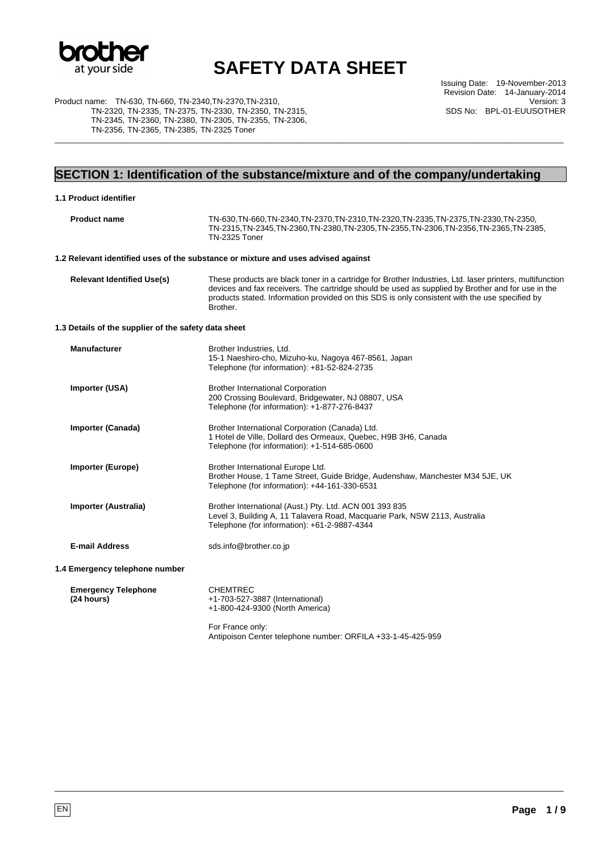

Issuing Date: 19-November-2013 Revision Date: 14-January-2014 Version: 3 SDS No: BPL-01-EUUSOTHER

Product name: TN-630, TN-660, TN-2340,TN-2370,TN-2310, TN-2320, TN-2335, TN-2375, TN-2330, TN-2350, TN-2315, TN-2345, TN-2360, TN-2380, TN-2305, TN-2355, TN-2306, TN-2356, TN-2365, TN-2385, TN-2325 Toner

## **SECTION 1: Identification of the substance/mixture and of the company/undertaking**

\_\_\_\_\_\_\_\_\_\_\_\_\_\_\_\_\_\_\_\_\_\_\_\_\_\_\_\_\_\_\_\_\_\_\_\_\_\_\_\_\_\_\_\_\_\_\_\_\_\_\_\_\_\_\_\_\_\_\_\_\_\_\_\_\_\_\_\_\_\_\_\_\_\_\_\_\_\_\_\_\_\_\_\_\_\_\_\_\_\_\_\_\_\_\_\_\_\_\_\_\_\_\_\_\_\_\_\_\_\_\_\_\_

| 1.1 Product identifier                               |                                                                                                                                                                                                                                                                                                                             |  |
|------------------------------------------------------|-----------------------------------------------------------------------------------------------------------------------------------------------------------------------------------------------------------------------------------------------------------------------------------------------------------------------------|--|
| <b>Product name</b>                                  | TN-630, TN-660, TN-2340, TN-2370, TN-2310, TN-2320, TN-2335, TN-2375, TN-2330, TN-2350,<br>TN-2315, TN-2345, TN-2360, TN-2380, TN-2305, TN-2355, TN-2306, TN-2356, TN-2365, TN-2385,<br><b>TN-2325 Toner</b>                                                                                                                |  |
|                                                      | 1.2 Relevant identified uses of the substance or mixture and uses advised against                                                                                                                                                                                                                                           |  |
| <b>Relevant Identified Use(s)</b>                    | These products are black toner in a cartridge for Brother Industries, Ltd. laser printers, multifunction<br>devices and fax receivers. The cartridge should be used as supplied by Brother and for use in the<br>products stated. Information provided on this SDS is only consistent with the use specified by<br>Brother. |  |
| 1.3 Details of the supplier of the safety data sheet |                                                                                                                                                                                                                                                                                                                             |  |
| <b>Manufacturer</b>                                  | Brother Industries, Ltd.<br>15-1 Naeshiro-cho, Mizuho-ku, Nagoya 467-8561, Japan<br>Telephone (for information): +81-52-824-2735                                                                                                                                                                                            |  |
| Importer (USA)                                       | <b>Brother International Corporation</b><br>200 Crossing Boulevard, Bridgewater, NJ 08807, USA<br>Telephone (for information): +1-877-276-8437                                                                                                                                                                              |  |
| Importer (Canada)                                    | Brother International Corporation (Canada) Ltd.<br>1 Hotel de Ville, Dollard des Ormeaux, Quebec, H9B 3H6, Canada<br>Telephone (for information): +1-514-685-0600                                                                                                                                                           |  |
| <b>Importer (Europe)</b>                             | Brother International Europe Ltd.<br>Brother House, 1 Tame Street, Guide Bridge, Audenshaw, Manchester M34 5JE, UK<br>Telephone (for information): +44-161-330-6531                                                                                                                                                         |  |
| Importer (Australia)                                 | Brother International (Aust.) Pty. Ltd. ACN 001 393 835<br>Level 3, Building A, 11 Talavera Road, Macquarie Park, NSW 2113, Australia<br>Telephone (for information): +61-2-9887-4344                                                                                                                                       |  |
| <b>E-mail Address</b>                                | sds.info@brother.co.jp                                                                                                                                                                                                                                                                                                      |  |
| 1.4 Emergency telephone number                       |                                                                                                                                                                                                                                                                                                                             |  |
| <b>Emergency Telephone</b><br>(24 hours)             | <b>CHEMTREC</b><br>+1-703-527-3887 (International)<br>+1-800-424-9300 (North America)                                                                                                                                                                                                                                       |  |
|                                                      | For France only:<br>Antipoison Center telephone number: ORFILA +33-1-45-425-959                                                                                                                                                                                                                                             |  |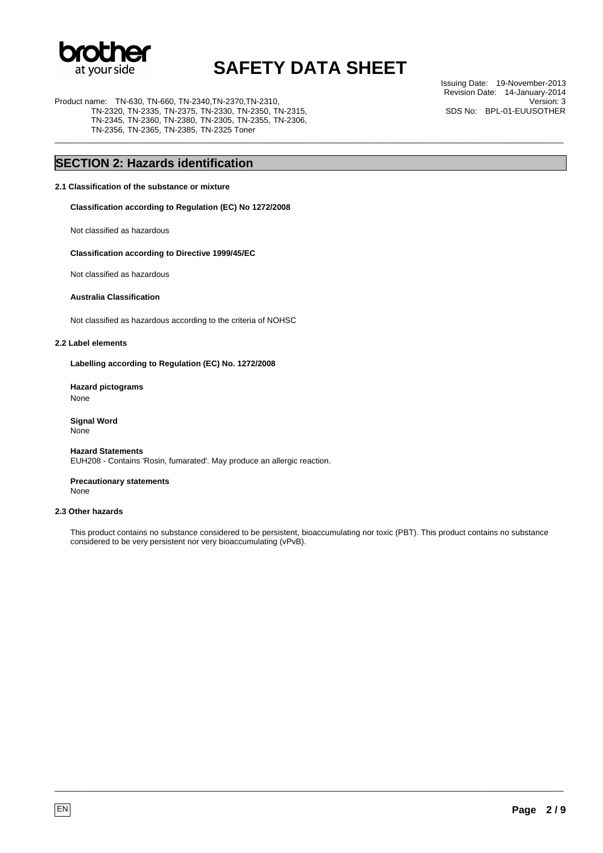

\_\_\_\_\_\_\_\_\_\_\_\_\_\_\_\_\_\_\_\_\_\_\_\_\_\_\_\_\_\_\_\_\_\_\_\_\_\_\_\_\_\_\_\_\_\_\_\_\_\_\_\_\_\_\_\_\_\_\_\_\_\_\_\_\_\_\_\_\_\_\_\_\_\_\_\_\_\_\_\_\_\_\_\_\_\_\_\_\_\_\_\_\_\_\_\_\_\_\_\_\_\_\_\_\_\_\_\_\_\_\_\_\_

Product name: TN-630, TN-660, TN-2340,TN-2370,TN-2310, TN-2320, TN-2335, TN-2375, TN-2330, TN-2350, TN-2315, TN-2345, TN-2360, TN-2380, TN-2305, TN-2355, TN-2306, TN-2356, TN-2365, TN-2385, TN-2325 Toner

Issuing Date: 19-November-2013 Revision Date: 14-January-2014 Version: 3 SDS No: BPL-01-EUUSOTHER

### **SECTION 2: Hazards identification**

#### **2.1 Classification of the substance or mixture**

**Classification according to Regulation (EC) No 1272/2008** 

Not classified as hazardous

#### **Classification according to Directive 1999/45/EC**

Not classified as hazardous

#### **Australia Classification**

Not classified as hazardous according to the criteria of NOHSC

#### **2.2 Label elements**

**Labelling according to Regulation (EC) No. 1272/2008** 

**Hazard pictograms**  None

**Signal Word**  None

**Hazard Statements**  EUH208 - Contains 'Rosin, fumarated'. May produce an allergic reaction.

**Precautionary statements**  None

#### **2.3 Other hazards**

This product contains no substance considered to be persistent, bioaccumulating nor toxic (PBT). This product contains no substance considered to be very persistent nor very bioaccumulating (vPvB).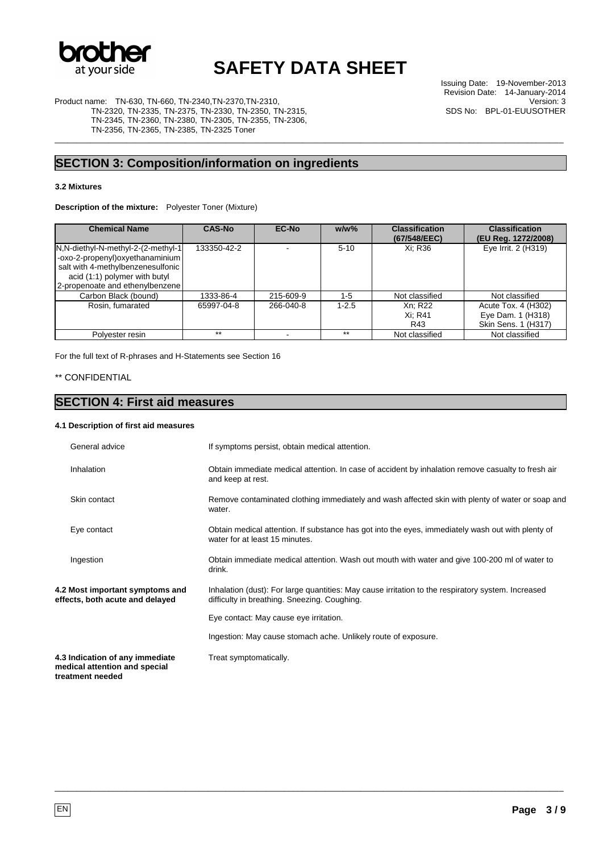

\_\_\_\_\_\_\_\_\_\_\_\_\_\_\_\_\_\_\_\_\_\_\_\_\_\_\_\_\_\_\_\_\_\_\_\_\_\_\_\_\_\_\_\_\_\_\_\_\_\_\_\_\_\_\_\_\_\_\_\_\_\_\_\_\_\_\_\_\_\_\_\_\_\_\_\_\_\_\_\_\_\_\_\_\_\_\_\_\_\_\_\_\_\_\_\_\_\_\_\_\_\_\_\_\_\_\_\_\_\_\_\_\_

Issuing Date: 19-November-2013 Revision Date: 14-January-2014 Version: 3 SDS No: BPL-01-EUUSOTHER

Product name: TN-630, TN-660, TN-2340,TN-2370,TN-2310, TN-2320, TN-2335, TN-2375, TN-2330, TN-2350, TN-2315, TN-2345, TN-2360, TN-2380, TN-2305, TN-2355, TN-2306, TN-2356, TN-2365, TN-2385, TN-2325 Toner

### **SECTION 3: Composition/information on ingredients**

#### **3.2 Mixtures**

**Description of the mixture:** Polyester Toner (Mixture)

| <b>Chemical Name</b>                                                                                                                                                              | <b>CAS-No</b> | <b>EC-No</b> | $w/w$ %   | <b>Classification</b><br>(67/548/EEC) | <b>Classification</b><br>(EU Reg. 1272/2008)                    |
|-----------------------------------------------------------------------------------------------------------------------------------------------------------------------------------|---------------|--------------|-----------|---------------------------------------|-----------------------------------------------------------------|
| N, N-diethyl-N-methyl-2-(2-methyl-1)<br>-oxo-2-propenyl) oxyethanaminium<br>salt with 4-methylbenzenesulfonic<br>acid (1:1) polymer with butyl<br>2-propenoate and ethenylbenzene | 133350-42-2   |              | $5 - 10$  | Xi: R36                               | Eye Irrit. 2 (H319)                                             |
| Carbon Black (bound)                                                                                                                                                              | 1333-86-4     | 215-609-9    | $1 - 5$   | Not classified                        | Not classified                                                  |
| Rosin, fumarated                                                                                                                                                                  | 65997-04-8    | 266-040-8    | $1 - 2.5$ | Xn: R22<br>Xi: R41<br>R43             | Acute Tox. 4 (H302)<br>Eye Dam. 1 (H318)<br>Skin Sens. 1 (H317) |
| Polyester resin                                                                                                                                                                   | $***$         |              | $***$     | Not classified                        | Not classified                                                  |

For the full text of R-phrases and H-Statements see Section 16

#### \*\* CONFIDENTIAL

#### **SECTION 4: First aid measures**

#### **4.1 Description of first aid measures**

| General advice                                                                       | If symptoms persist, obtain medical attention.                                                                                                     |
|--------------------------------------------------------------------------------------|----------------------------------------------------------------------------------------------------------------------------------------------------|
| Inhalation                                                                           | Obtain immediate medical attention. In case of accident by inhalation remove casualty to fresh air<br>and keep at rest.                            |
| Skin contact                                                                         | Remove contaminated clothing immediately and wash affected skin with plenty of water or soap and<br>water.                                         |
| Eye contact                                                                          | Obtain medical attention. If substance has got into the eyes, immediately wash out with plenty of<br>water for at least 15 minutes.                |
| Ingestion                                                                            | Obtain immediate medical attention. Wash out mouth with water and give 100-200 ml of water to<br>drink.                                            |
| 4.2 Most important symptoms and<br>effects, both acute and delayed                   | Inhalation (dust): For large quantities: May cause irritation to the respiratory system. Increased<br>difficulty in breathing. Sneezing. Coughing. |
|                                                                                      | Eye contact: May cause eye irritation.                                                                                                             |
|                                                                                      | Ingestion: May cause stomach ache. Unlikely route of exposure.                                                                                     |
| 4.3 Indication of any immediate<br>medical attention and special<br>treatment needed | Treat symptomatically.                                                                                                                             |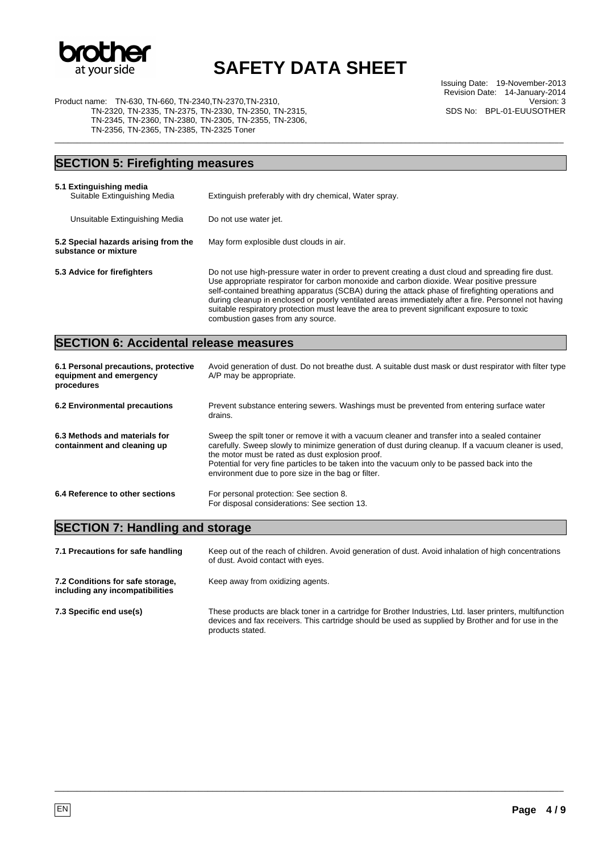

\_\_\_\_\_\_\_\_\_\_\_\_\_\_\_\_\_\_\_\_\_\_\_\_\_\_\_\_\_\_\_\_\_\_\_\_\_\_\_\_\_\_\_\_\_\_\_\_\_\_\_\_\_\_\_\_\_\_\_\_\_\_\_\_\_\_\_\_\_\_\_\_\_\_\_\_\_\_\_\_\_\_\_\_\_\_\_\_\_\_\_\_\_\_\_\_\_\_\_\_\_\_\_\_\_\_\_\_\_\_\_\_\_

Issuing Date: 19-November-2013 Revision Date: 14-January-2014 Version: 3 SDS No: BPL-01-EUUSOTHER

Product name: TN-630, TN-660, TN-2340,TN-2370,TN-2310, TN-2320, TN-2335, TN-2375, TN-2330, TN-2350, TN-2315, TN-2345, TN-2360, TN-2380, TN-2305, TN-2355, TN-2306, TN-2356, TN-2365, TN-2385, TN-2325 Toner

### **SECTION 5: Firefighting measures**

| 5.1 Extinguishing media<br>Suitable Extinguishing Media      | Extinguish preferably with dry chemical, Water spray.                                                                                                                                                                                                                                                                                                                                                                                                                                                                                           |  |  |
|--------------------------------------------------------------|-------------------------------------------------------------------------------------------------------------------------------------------------------------------------------------------------------------------------------------------------------------------------------------------------------------------------------------------------------------------------------------------------------------------------------------------------------------------------------------------------------------------------------------------------|--|--|
| Unsuitable Extinguishing Media                               | Do not use water jet.                                                                                                                                                                                                                                                                                                                                                                                                                                                                                                                           |  |  |
| 5.2 Special hazards arising from the<br>substance or mixture | May form explosible dust clouds in air.                                                                                                                                                                                                                                                                                                                                                                                                                                                                                                         |  |  |
| 5.3 Advice for firefighters                                  | Do not use high-pressure water in order to prevent creating a dust cloud and spreading fire dust.<br>Use appropriate respirator for carbon monoxide and carbon dioxide. Wear positive pressure<br>self-contained breathing apparatus (SCBA) during the attack phase of firefighting operations and<br>during cleanup in enclosed or poorly ventilated areas immediately after a fire. Personnel not having<br>suitable respiratory protection must leave the area to prevent significant exposure to toxic<br>combustion gases from any source. |  |  |

## **SECTION 6: Accidental release measures**

| 6.1 Personal precautions, protective<br>equipment and emergency<br>procedures | Avoid generation of dust. Do not breathe dust. A suitable dust mask or dust respirator with filter type<br>A/P may be appropriate.                                                                                                                                                                                                                                                                              |
|-------------------------------------------------------------------------------|-----------------------------------------------------------------------------------------------------------------------------------------------------------------------------------------------------------------------------------------------------------------------------------------------------------------------------------------------------------------------------------------------------------------|
| 6.2 Environmental precautions                                                 | Prevent substance entering sewers. Washings must be prevented from entering surface water<br>drains.                                                                                                                                                                                                                                                                                                            |
| 6.3 Methods and materials for<br>containment and cleaning up                  | Sweep the spilt toner or remove it with a vacuum cleaner and transfer into a sealed container<br>carefully. Sweep slowly to minimize generation of dust during cleanup. If a vacuum cleaner is used,<br>the motor must be rated as dust explosion proof.<br>Potential for very fine particles to be taken into the vacuum only to be passed back into the<br>environment due to pore size in the bag or filter. |
| 6.4 Reference to other sections                                               | For personal protection: See section 8.<br>For disposal considerations: See section 13.                                                                                                                                                                                                                                                                                                                         |

### **SECTION 7: Handling and storage**

| 7.1 Precautions for safe handling                                   | Keep out of the reach of children. Avoid generation of dust. Avoid inhalation of high concentrations<br>of dust. Avoid contact with eyes.                                                                                          |
|---------------------------------------------------------------------|------------------------------------------------------------------------------------------------------------------------------------------------------------------------------------------------------------------------------------|
| 7.2 Conditions for safe storage,<br>including any incompatibilities | Keep away from oxidizing agents.                                                                                                                                                                                                   |
| 7.3 Specific end use(s)                                             | These products are black toner in a cartridge for Brother Industries, Ltd. laser printers, multifunction<br>devices and fax receivers. This cartridge should be used as supplied by Brother and for use in the<br>products stated. |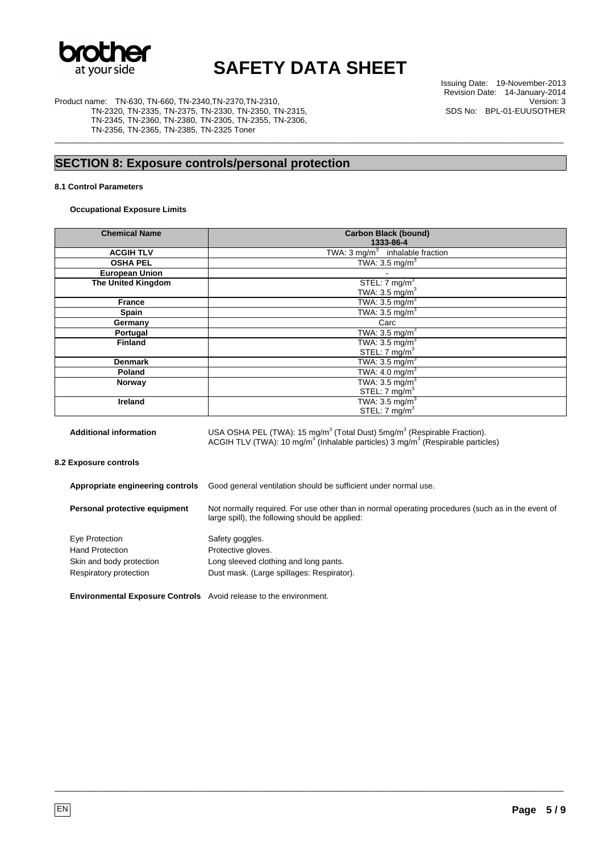

\_\_\_\_\_\_\_\_\_\_\_\_\_\_\_\_\_\_\_\_\_\_\_\_\_\_\_\_\_\_\_\_\_\_\_\_\_\_\_\_\_\_\_\_\_\_\_\_\_\_\_\_\_\_\_\_\_\_\_\_\_\_\_\_\_\_\_\_\_\_\_\_\_\_\_\_\_\_\_\_\_\_\_\_\_\_\_\_\_\_\_\_\_\_\_\_\_\_\_\_\_\_\_\_\_\_\_\_\_\_\_\_\_

Product name: TN-630, TN-660, TN-2340,TN-2370,TN-2310, TN-2320, TN-2335, TN-2375, TN-2330, TN-2350, TN-2315, TN-2345, TN-2360, TN-2380, TN-2305, TN-2355, TN-2306, TN-2356, TN-2365, TN-2385, TN-2325 Toner

Issuing Date: 19-November-2013 Revision Date: 14-January-2014 Version: 3 SDS No: BPL-01-EUUSOTHER

### **SECTION 8: Exposure controls/personal protection**

#### **8.1 Control Parameters**

**Occupational Exposure Limits** 

| <b>Chemical Name</b>      | <b>Carbon Black (bound)</b>                          |
|---------------------------|------------------------------------------------------|
|                           | 1333-86-4                                            |
| <b>ACGIH TLV</b>          | TWA: $3 \overline{\text{mg/m}^3}$ inhalable fraction |
| <b>OSHA PEL</b>           | TWA: $3.5 \text{ mg/m}^3$                            |
| <b>European Union</b>     |                                                      |
| <b>The United Kingdom</b> | STEL: $7 \text{ mg/m}^3$                             |
|                           | TWA: $3.5 \text{ mg/m}^3$                            |
| France                    | TWA: $3.5 \text{ mg/m}^3$                            |
| Spain                     | TWA: $3.5 \text{ mg/m}^3$                            |
| Germany                   | Carc                                                 |
| Portugal                  | TWA: $3.\overline{5}$ mg/m <sup>3</sup>              |
| <b>Finland</b>            | TWA: $3.5 \text{ mg/m}^3$                            |
|                           | STEL: $7 \text{ mg/m}^3$                             |
| <b>Denmark</b>            | TWA: $3.5 \text{ mg/m}^3$                            |
| Poland                    | TWA: $4.0 \text{ mg/m}^3$                            |
| Norway                    | TWA: $3.5 \text{ mg/m}^3$                            |
|                           | STEL: $7 \text{ mg/m}^3$                             |
| <b>Ireland</b>            | TWA: $3.5 \text{ mg/m}^3$                            |
|                           | STEL: 7 mg/m <sup>3</sup>                            |
|                           |                                                      |

Additional information **USA OSHA PEL (TWA): 15 mg/m<sup>3</sup> (Total Dust)** 5mg/m<sup>3</sup> (Respirable Fraction). ACGIH TLV (TWA): 10 mg/m<sup>3</sup> (Inhalable particles)  $\overline{3}$  mg/m<sup>3</sup> (Respirable particles) **8.2 Exposure controls** 

**Appropriate engineering controls** Good general ventilation should be sufficient under normal use.

| Personal protective equipment | Not normally required. For use other than in normal operating procedures (such as in the event of<br>large spill), the following should be applied: |
|-------------------------------|-----------------------------------------------------------------------------------------------------------------------------------------------------|
|                               |                                                                                                                                                     |

\_\_\_\_\_\_\_\_\_\_\_\_\_\_\_\_\_\_\_\_\_\_\_\_\_\_\_\_\_\_\_\_\_\_\_\_\_\_\_\_\_\_\_\_\_\_\_\_\_\_\_\_\_\_\_\_\_\_\_\_\_\_\_\_\_\_\_\_\_\_\_\_\_\_\_\_\_\_\_\_\_\_\_\_\_\_\_\_\_\_\_\_\_\_\_\_\_\_\_\_\_\_\_\_\_\_\_\_\_\_\_\_\_

| Eye Protection           | Safety goggles.                           |
|--------------------------|-------------------------------------------|
| <b>Hand Protection</b>   | Protective gloves.                        |
| Skin and body protection | Long sleeved clothing and long pants.     |
| Respiratory protection   | Dust mask. (Large spillages: Respirator). |

**Environmental Exposure Controls** Avoid release to the environment.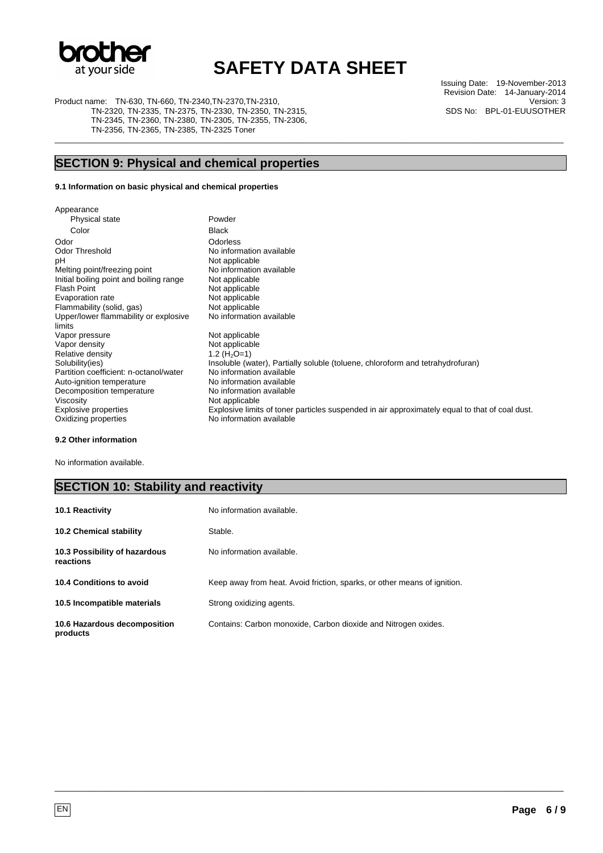

\_\_\_\_\_\_\_\_\_\_\_\_\_\_\_\_\_\_\_\_\_\_\_\_\_\_\_\_\_\_\_\_\_\_\_\_\_\_\_\_\_\_\_\_\_\_\_\_\_\_\_\_\_\_\_\_\_\_\_\_\_\_\_\_\_\_\_\_\_\_\_\_\_\_\_\_\_\_\_\_\_\_\_\_\_\_\_\_\_\_\_\_\_\_\_\_\_\_\_\_\_\_\_\_\_\_\_\_\_\_\_\_\_

Product name: TN-630, TN-660, TN-2340,TN-2370,TN-2310,

 TN-2320, TN-2335, TN-2375, TN-2330, TN-2350, TN-2315, TN-2345, TN-2360, TN-2380, TN-2305, TN-2355, TN-2306, TN-2356, TN-2365, TN-2385, TN-2325 Toner

### **SECTION 9: Physical and chemical properties**

#### **9.1 Information on basic physical and chemical properties**

Appearance Physical state **Powder** Color Black Odor Odorless Odor Threshold No information available<br>pH Not applicable Not applicable Melting point/freezing point No information available<br>
Initial boiling point and boiling range Not applicable Initial boiling point and boiling range<br>Flash Point Not applicable Evaporation rate<br>
Flammability (solid, gas) Not applicable<br>
Not applicable Flammability (solid, gas) Upper/lower flammability or explosive limits No information available Vapor pressure Not applicable<br>Vapor density Not applicable Not applicable Relative density  $1.2 \left(\overline{H_2O}=1\right)$ <br>Solubility(ies) Insoluble (was Insoluble (water), Partially soluble (toluene, chloroform and tetrahydrofuran)<br>No information available Partition coefficient: n-octanol/water Mo information available<br>Auto-ignition temperature No information available Auto-ignition temperature Mo information available<br>Decomposition temperature Mo information available Decomposition temperature Viscosity Not applicable Explosive properties Explosive limits of toner particles suspended in air approximately equal to that of coal dust.<br>
Oxidizing properties **State State State State State State State State State State State State State State** Oxidizing properties

#### **9.2 Other information**

No information available.

#### **SECTION 10: Stability and reactivity**

| <b>10.1 Reactivity</b>                     | No information available.                                                |
|--------------------------------------------|--------------------------------------------------------------------------|
| <b>10.2 Chemical stability</b>             | Stable.                                                                  |
| 10.3 Possibility of hazardous<br>reactions | No information available.                                                |
| 10.4 Conditions to avoid                   | Keep away from heat. Avoid friction, sparks, or other means of ignition. |
| 10.5 Incompatible materials                | Strong oxidizing agents.                                                 |
| 10.6 Hazardous decomposition<br>products   | Contains: Carbon monoxide, Carbon dioxide and Nitrogen oxides.           |

\_\_\_\_\_\_\_\_\_\_\_\_\_\_\_\_\_\_\_\_\_\_\_\_\_\_\_\_\_\_\_\_\_\_\_\_\_\_\_\_\_\_\_\_\_\_\_\_\_\_\_\_\_\_\_\_\_\_\_\_\_\_\_\_\_\_\_\_\_\_\_\_\_\_\_\_\_\_\_\_\_\_\_\_\_\_\_\_\_\_\_\_\_\_\_\_\_\_\_\_\_\_\_\_\_\_\_\_\_\_\_\_\_

Issuing Date: 19-November-2013 Revision Date: 14-January-2014 Version: 3 SDS No: BPL-01-EUUSOTHER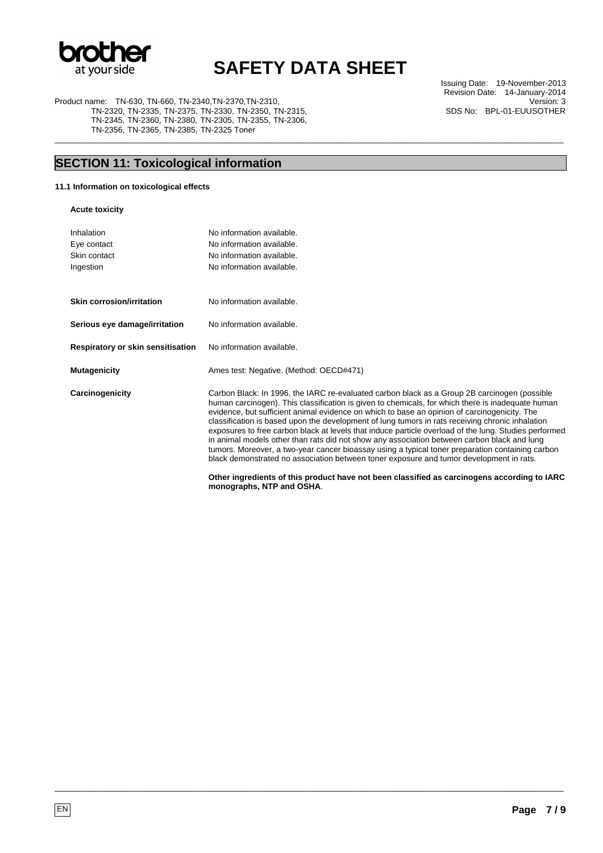

\_\_\_\_\_\_\_\_\_\_\_\_\_\_\_\_\_\_\_\_\_\_\_\_\_\_\_\_\_\_\_\_\_\_\_\_\_\_\_\_\_\_\_\_\_\_\_\_\_\_\_\_\_\_\_\_\_\_\_\_\_\_\_\_\_\_\_\_\_\_\_\_\_\_\_\_\_\_\_\_\_\_\_\_\_\_\_\_\_\_\_\_\_\_\_\_\_\_\_\_\_\_\_\_\_\_\_\_\_\_\_\_\_

Product name: TN-630, TN-660, TN-2340,TN-2370,TN-2310, TN-2320, TN-2335, TN-2375, TN-2330, TN-2350, TN-2315, TN-2345, TN-2360, TN-2380, TN-2305, TN-2355, TN-2306, TN-2356, TN-2365, TN-2385, TN-2325 Toner

Issuing Date: 19-November-2013 Revision Date: 14-January-2014 Version: 3 SDS No: BPL-01-EUUSOTHER

## **SECTION 11: Toxicological information**

**11.1 Information on toxicological effects** 

**Acute toxicity** 

| Inhalation                        | No information available.                                                                                                                                                                                                                                                                                                                                                                                                                                                                                                                                                                                                                                                                                                                                                                                    |
|-----------------------------------|--------------------------------------------------------------------------------------------------------------------------------------------------------------------------------------------------------------------------------------------------------------------------------------------------------------------------------------------------------------------------------------------------------------------------------------------------------------------------------------------------------------------------------------------------------------------------------------------------------------------------------------------------------------------------------------------------------------------------------------------------------------------------------------------------------------|
| Eye contact                       | No information available.                                                                                                                                                                                                                                                                                                                                                                                                                                                                                                                                                                                                                                                                                                                                                                                    |
| Skin contact                      | No information available.                                                                                                                                                                                                                                                                                                                                                                                                                                                                                                                                                                                                                                                                                                                                                                                    |
| Ingestion                         | No information available.                                                                                                                                                                                                                                                                                                                                                                                                                                                                                                                                                                                                                                                                                                                                                                                    |
|                                   |                                                                                                                                                                                                                                                                                                                                                                                                                                                                                                                                                                                                                                                                                                                                                                                                              |
| <b>Skin corrosion/irritation</b>  | No information available.                                                                                                                                                                                                                                                                                                                                                                                                                                                                                                                                                                                                                                                                                                                                                                                    |
| Serious eye damage/irritation     | No information available.                                                                                                                                                                                                                                                                                                                                                                                                                                                                                                                                                                                                                                                                                                                                                                                    |
| Respiratory or skin sensitisation | No information available.                                                                                                                                                                                                                                                                                                                                                                                                                                                                                                                                                                                                                                                                                                                                                                                    |
| <b>Mutagenicity</b>               | Ames test: Negative. (Method: OECD#471)                                                                                                                                                                                                                                                                                                                                                                                                                                                                                                                                                                                                                                                                                                                                                                      |
| Carcinogenicity                   | Carbon Black: In 1996, the IARC re-evaluated carbon black as a Group 2B carcinogen (possible<br>human carcinogen). This classification is given to chemicals, for which there is inadeguate human<br>evidence, but sufficient animal evidence on which to base an opinion of carcinogenicity. The<br>classification is based upon the development of lung tumors in rats receiving chronic inhalation<br>exposures to free carbon black at levels that induce particle overload of the lung. Studies performed<br>in animal models other than rats did not show any association between carbon black and lung<br>tumors. Moreover, a two-year cancer bioassay using a typical toner preparation containing carbon<br>black demonstrated no association between toner exposure and tumor development in rats. |
|                                   | Other ingredients of this product have not been classified as carcinogens according to IARC<br>monographs, NTP and OSHA.                                                                                                                                                                                                                                                                                                                                                                                                                                                                                                                                                                                                                                                                                     |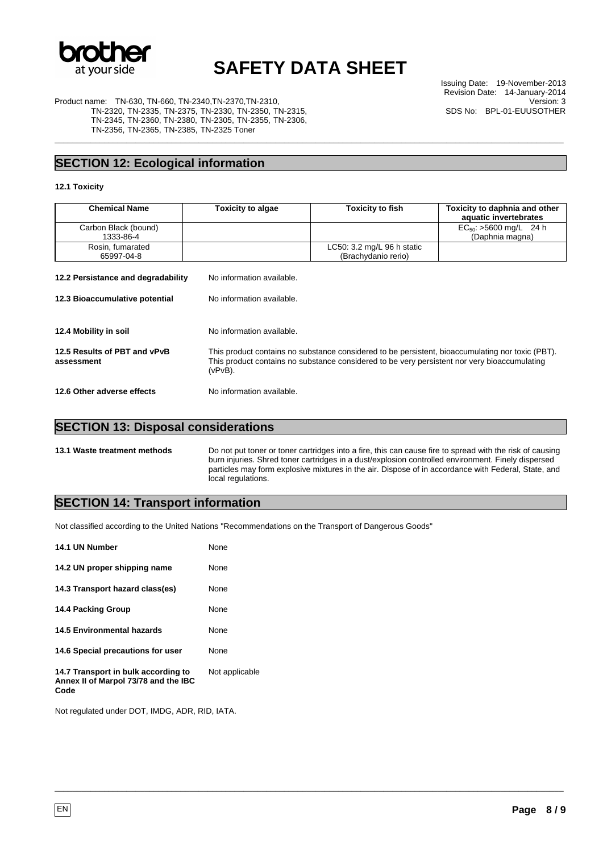

\_\_\_\_\_\_\_\_\_\_\_\_\_\_\_\_\_\_\_\_\_\_\_\_\_\_\_\_\_\_\_\_\_\_\_\_\_\_\_\_\_\_\_\_\_\_\_\_\_\_\_\_\_\_\_\_\_\_\_\_\_\_\_\_\_\_\_\_\_\_\_\_\_\_\_\_\_\_\_\_\_\_\_\_\_\_\_\_\_\_\_\_\_\_\_\_\_\_\_\_\_\_\_\_\_\_\_\_\_\_\_\_\_

Issuing Date: 19-November-2013 Revision Date: 14-January-2014 Version: 3 SDS No: BPL-01-EUUSOTHER

Product name: TN-630, TN-660, TN-2340,TN-2370,TN-2310, TN-2320, TN-2335, TN-2375, TN-2330, TN-2350, TN-2315, TN-2345, TN-2360, TN-2380, TN-2305, TN-2355, TN-2306, TN-2356, TN-2365, TN-2385, TN-2325 Toner

### **SECTION 12: Ecological information**

#### **12.1 Toxicity**

| <b>Chemical Name</b>                       | Toxicity to algae                                                                                                                                                                                           | <b>Toxicity to fish</b>                                     | Toxicity to daphnia and other<br>aquatic invertebrates |
|--------------------------------------------|-------------------------------------------------------------------------------------------------------------------------------------------------------------------------------------------------------------|-------------------------------------------------------------|--------------------------------------------------------|
| Carbon Black (bound)<br>1333-86-4          |                                                                                                                                                                                                             |                                                             | $EC_{50}$ : >5600 mg/L 24 h<br>(Daphnia magna)         |
| Rosin, fumarated<br>65997-04-8             |                                                                                                                                                                                                             | LC50: $3.2 \text{ mg/L}$ 96 h static<br>(Brachydanio rerio) |                                                        |
| 12.2 Persistance and degradability         | No information available.                                                                                                                                                                                   |                                                             |                                                        |
| 12.3 Bioaccumulative potential             | No information available.                                                                                                                                                                                   |                                                             |                                                        |
| 12.4 Mobility in soil                      | No information available.                                                                                                                                                                                   |                                                             |                                                        |
| 12.5 Results of PBT and vPvB<br>assessment | This product contains no substance considered to be persistent, bioaccumulating nor toxic (PBT).<br>This product contains no substance considered to be very persistent nor very bioaccumulating<br>(vPvB). |                                                             |                                                        |
| 12.6 Other adverse effects                 | No information available.                                                                                                                                                                                   |                                                             |                                                        |

### **SECTION 13: Disposal considerations**

**13.1 Waste treatment methods** Do not put toner or toner cartridges into a fire, this can cause fire to spread with the risk of causing burn injuries. Shred toner cartridges in a dust/explosion controlled environment. Finely dispersed particles may form explosive mixtures in the air. Dispose of in accordance with Federal, State, and local regulations.

\_\_\_\_\_\_\_\_\_\_\_\_\_\_\_\_\_\_\_\_\_\_\_\_\_\_\_\_\_\_\_\_\_\_\_\_\_\_\_\_\_\_\_\_\_\_\_\_\_\_\_\_\_\_\_\_\_\_\_\_\_\_\_\_\_\_\_\_\_\_\_\_\_\_\_\_\_\_\_\_\_\_\_\_\_\_\_\_\_\_\_\_\_\_\_\_\_\_\_\_\_\_\_\_\_\_\_\_\_\_\_\_\_

#### **SECTION 14: Transport information**

Not classified according to the United Nations "Recommendations on the Transport of Dangerous Goods"

| 14.1 UN Number                                                                      | None           |
|-------------------------------------------------------------------------------------|----------------|
| 14.2 UN proper shipping name                                                        | None           |
| 14.3 Transport hazard class(es)                                                     | None           |
| <b>14.4 Packing Group</b>                                                           | None           |
| <b>14.5 Environmental hazards</b>                                                   | None           |
| 14.6 Special precautions for user                                                   | None           |
| 14.7 Transport in bulk according to<br>Annex II of Marpol 73/78 and the IBC<br>Code | Not applicable |

Not regulated under DOT, IMDG, ADR, RID, IATA.